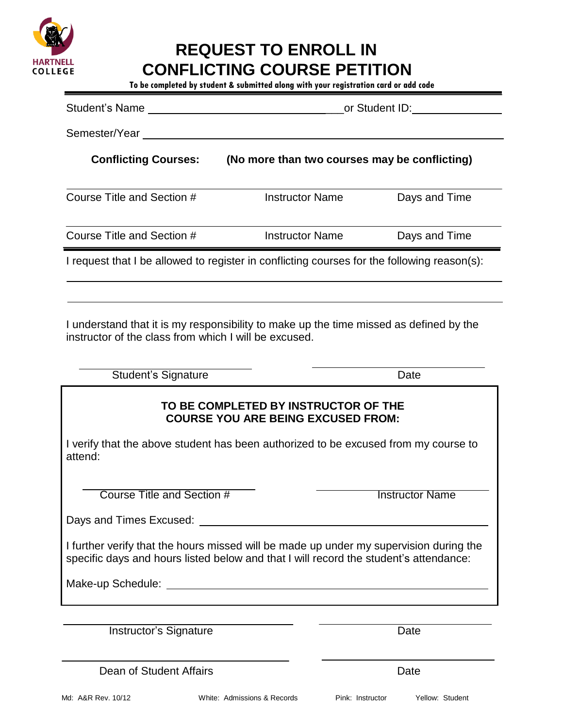

# **REQUEST TO ENROLL IN CONFLICTING COURSE PETITION**

**To be completed by student & submitted along with your registration card or add code**

| Student's Name                                                                              | or Student ID:                                |               |
|---------------------------------------------------------------------------------------------|-----------------------------------------------|---------------|
| Semester/Year                                                                               |                                               |               |
| <b>Conflicting Courses:</b>                                                                 | (No more than two courses may be conflicting) |               |
| Course Title and Section #                                                                  | <b>Instructor Name</b>                        | Days and Time |
| Course Title and Section #                                                                  | <b>Instructor Name</b>                        | Days and Time |
| I request that I be allowed to register in conflicting courses for the following reason(s): |                                               |               |

I understand that it is my responsibility to make up the time missed as defined by the instructor of the class from which I will be excused.

Student's Signature Date Date

## **TO BE COMPLETED BY INSTRUCTOR OF THE COURSE YOU ARE BEING EXCUSED FROM:**

I verify that the above student has been authorized to be excused from my course to attend:

**Course Title and Section # Transfer Course Title and Section # Transfer Course Title and Section # Transfer Course Transfer Added** 

Days and Times Excused:

I further verify that the hours missed will be made up under my supervision during the specific days and hours listed below and that I will record the student's attendance:

Make-up Schedule:

Instructor's Signature **Date** Date

Dean of Student Affairs **Date**